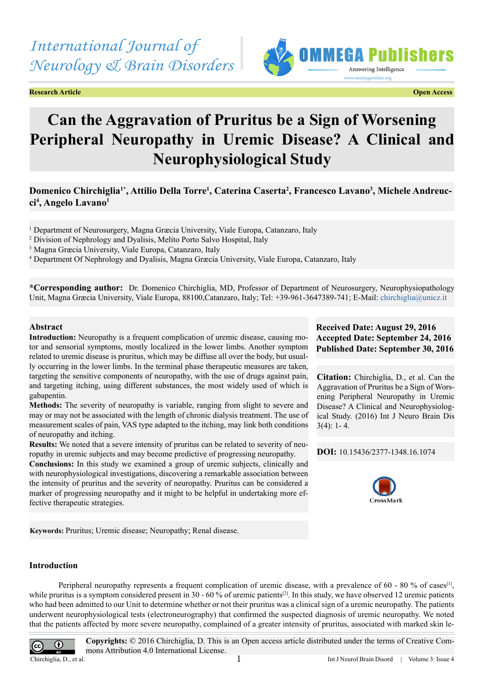# *International Journal of Neurology & Brain Disorders*

**Research Article Open Access**



# **Can the Aggravation of Pruritus be a Sign of Worsening Peripheral Neuropathy in Uremic Disease? A Clinical and Neurophysiological Study**

## **Domenico Chirchiglia1\*, Attilio Della Torre1 , Caterina Caserta2 , Francesco Lavano3 , Michele Andreucci4 , Angelo Lavano1**

<sup>1</sup> Department of Neurosurgery, Magna Græcia University, Viale Europa, Catanzaro, Italy

<sup>2</sup> Division of Nephrology and Dyalisis, Melito Porto Salvo Hospital, Italy

3 Magna Græcia University, Viale Europa, Catanzaro, Italy

4 Department Of Nephrology and Dyalisis, Magna Græcia University, Viale Europa, Catanzaro, Italy

**\*Corresponding author:** Dr. Domenico Chirchiglia, MD, Professor of Department of Neurosurgery, Neurophysiopathology Unit, Magna Græcia University, Viale Europa, 88100,Catanzaro, Italy; Tel: +39-961-3647389-741; E-Mail: [chirchiglia@unicz.it](mailto:chirchiglia@unicz.it)

#### **Abstract**

**Introduction:** Neuropathy is a frequent complication of uremic disease, causing motor and sensorial symptoms, mostly localized in the lower limbs. Another symptom related to uremic disease is pruritus, which may be diffuse all over the body, but usually occurring in the lower limbs. In the terminal phase therapeutic measures are taken, targeting the sensitive components of neuropathy, with the use of drugs against pain, and targeting itching, using different substances, the most widely used of which is gabapentin.

**Methods:** The severity of neuropathy is variable, ranging from slight to severe and may or may not be associated with the length of chronic dialysis treatment. The use of measurement scales of pain, VAS type adapted to the itching, may link both conditions of neuropathy and itching.

**Results:** We noted that a severe intensity of pruritus can be related to severity of neuropathy in uremic subjects and may become predictive of progressing neuropathy.

**Conclusions:** In this study we examined a group of uremic subjects, clinically and with neurophysiological investigations, discovering a remarkable association between the intensity of pruritus and the severity of neuropathy. Pruritus can be considered a marker of progressing neuropathy and it might to be helpful in undertaking more effective therapeutic strategies.

**Keywords:** Pruritus; Uremic disease; Neuropathy; Renal disease.

### **Received Date: August 29, 2016 Accepted Date: September 24, 2016 Published Date: September 30, 2016**

**Citation:** Chirchiglia, D., et al. Can the Aggravation of Pruritus be a Sign of Worsening Peripheral Neuropathy in Uremic Disease? A Clinical and Neurophysiological Study. (2016) Int J Neuro Brain Dis  $3(4): 1 - 4.$ 

**DOI:** [10.15436/2377-1348.16.1074](http://www.dx.doi.org/10.15436/2377-1348.16.1074
)



#### **Introduction**

Peripheral neuropathy represents a frequent complication of uremic disease, with a prevalence of 60 - 80 % of cases<sup>[1]</sup>, while pruritus is a symptom considered present in 30 - 60 % of uremic patients<sup>[\[2\]](#page-3-1)</sup>. In this study, we have observed 12 uremic patients who had been admitted to our Unit to determine whether or not their pruritus was a clinical sign of a uremic neuropathy. The patients underwent neurophysiological tests (electroneurography) that confirmed the suspected diagnosis of uremic neuropathy. We noted that the patients affected by more severe neuropathy, complained of a greater intensity of pruritus, associated with marked skin le-



**Copyrights:** © 2016 Chirchiglia, D. This is an Open access article distributed under the terms of Creative Commons Attribution 4.0 International License.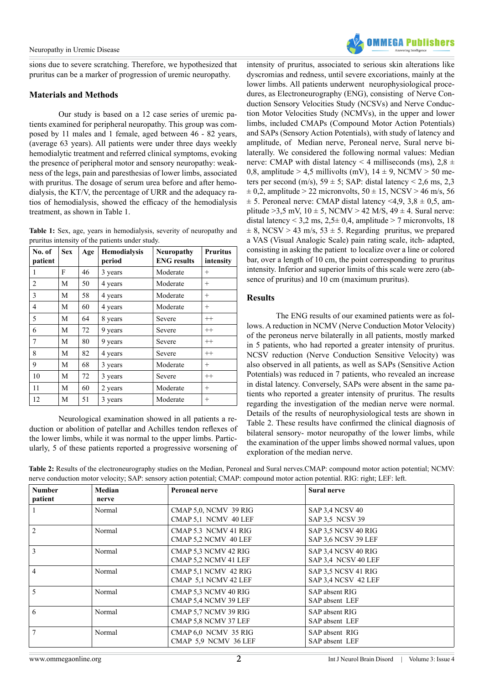sions due to severe scratching. Therefore, we hypothesized that pruritus can be a marker of progression of uremic neuropathy.

#### **Materials and Methods**

Our study is based on a 12 case series of uremic patients examined for peripheral neuropathy. This group was composed by 11 males and 1 female, aged between 46 - 82 years, (average 63 years). All patients were under three days weekly hemodialytic treatment and referred clinical symptoms, evoking the presence of peripheral motor and sensory neuropathy: weakness of the legs, pain and paresthesias of lower limbs, associated with pruritus. The dosage of serum urea before and after hemodialysis, the KT/V, the percentage of URR and the adequacy ratios of hemodialysis, showed the efficacy of the hemodialysis treatment, as shown in Table 1.

**Table 1:** Sex, age, years in hemodialysis, severity of neuropathy and pruritus intensity of the patients under study.

| No. of<br>patient | <b>Sex</b> | Age | <b>Hemodialysis</b><br>period | <b>Neuropathy</b><br><b>ENG</b> results | <b>Pruritus</b><br>intensity |
|-------------------|------------|-----|-------------------------------|-----------------------------------------|------------------------------|
| 1                 | F          | 46  | 3 years                       | Moderate                                | $^{+}$                       |
| 2                 | M          | 50  | 4 years                       | Moderate                                | $^{+}$                       |
| 3                 | M          | 58  | 4 years                       | Moderate                                | $^{+}$                       |
| 4                 | M          | 60  | 4 years                       | Moderate                                | $^{+}$                       |
| 5                 | М          | 64  | 8 years                       | Severe                                  | $^{++}$                      |
| 6                 | М          | 72  | 9 years                       | Severe                                  | $^{++}$                      |
| 7                 | М          | 80  | 9 years                       | Severe                                  | $^{++}$                      |
| 8                 | M          | 82  | 4 years                       | Severe                                  | $^{++}$                      |
| 9                 | M          | 68  | 3 years                       | Moderate                                | $^{+}$                       |
| 10                | M          | 72  | 3 years                       | Severe                                  | $^{++}$                      |
| 11                | M          | 60  | 2 years                       | Moderate                                | $^{+}$                       |
| 12                | М          | 51  | 3 years                       | Moderate                                | $^{+}$                       |

Neurological examination showed in all patients a reduction or abolition of patellar and Achilles tendon reflexes of the lower limbs, while it was normal to the upper limbs. Particularly, 5 of these patients reported a progressive worsening of



intensity of pruritus, associated to serious skin alterations like dyscromias and redness, until severe excoriations, mainly at the lower limbs. All patients underwent neurophysiological procedures, as Electroneurography (ENG), consisting of Nerve Conduction Sensory Velocities Study (NCSVs) and Nerve Conduction Motor Velocities Study (NCMVs), in the upper and lower limbs, included CMAPs (Compound Motor Action Potentials) and SAPs (Sensory Action Potentials), with study of latency and amplitude, of Median nerve, Peroneal nerve, Sural nerve bilaterally. We considered the following normal values: Median nerve: CMAP with distal latency < 4 milliseconds (ms),  $2,8 \pm$ 0,8, amplitude > 4,5 millivolts (mV),  $14 \pm 9$ , NCMV > 50 meters per second (m/s),  $59 \pm 5$ ; SAP: distal latency < 2,6 ms, 2,3  $\pm$  0,2, amplitude > 22 micronvolts, 50  $\pm$  15, NCSV > 46 m/s, 56  $\pm$  5. Peroneal nerve: CMAP distal latency <4,9, 3,8  $\pm$  0,5, amplitude > 3,5 mV,  $10 \pm 5$ , NCMV > 42 M/S,  $49 \pm 4$ . Sural nerve: distal latency  $\leq 3.2$  ms,  $2.5 \pm 0.4$ , amplitude  $\geq 7$  micronvolts, 18  $\pm$  8, NCSV > 43 m/s, 53  $\pm$  5. Regarding pruritus, we prepared a VAS (Visual Analogic Scale) pain rating scale, itch- adapted, consisting in asking the patient to localize over a line or colored bar, over a length of 10 cm, the point corresponding to pruritus intensity. Inferior and superior limits of this scale were zero (absence of pruritus) and 10 cm (maximum pruritus).

#### **Results**

The ENG results of our examined patients were as follows. A reduction in NCMV (Nerve Conduction Motor Velocity) of the peroneus nerve bilaterally in all patients, mostly marked in 5 patients, who had reported a greater intensity of pruritus. NCSV reduction (Nerve Conduction Sensitive Velocity) was also observed in all patients, as well as SAPs (Sensitive Action Potentials) was reduced in 7 patients, who revealed an increase in distal latency. Conversely, SAPs were absent in the same patients who reported a greater intensity of pruritus. The results regarding the investigation of the median nerve were normal. Details of the results of neurophysiological tests are shown in Table 2. These results have confirmed the clinical diagnosis of bilateral sensory- motor neuropathy of the lower limbs, while the examination of the upper limbs showed normal values, upon exploration of the median nerve.

| Table 2: Results of the electroneurography studies on the Median, Peroneal and Sural nerves. CMAP: compound motor action potential; NCMV: |
|-------------------------------------------------------------------------------------------------------------------------------------------|
| nerve conduction motor velocity; SAP: sensory action potential; CMAP: compound motor action potential. RIG: right; LEF: left.             |

| <b>Number</b><br>patient | Median<br>nerve | <b>Peroneal nerve</b>                         | Sural nerve                                |
|--------------------------|-----------------|-----------------------------------------------|--------------------------------------------|
|                          | Normal          | CMAP 5,0, NCMV 39 RIG<br>CMAP 5.1 NCMV 40 LEF | SAP 3,4 NCSV 40<br>SAP 3.5 NCSV 39         |
| $\overline{2}$           | Normal          | CMAP 5.3 NCMV 41 RIG<br>CMAP 5.2 NCMV 40 LEF  | SAP 3.5 NCSV 40 RIG<br>SAP 3.6 NCSV 39 LEF |
| $\mathcal{E}$            | Normal          | CMAP 5,3 NCMV 42 RIG<br>CMAP 5.2 NCMV 41 LEF  | SAP 3,4 NCSV 40 RIG<br>SAP 3.4 NCSV 40 LEF |
| $\overline{4}$           | Normal          | CMAP 5,1 NCMV 42 RIG<br>CMAP 5.1 NCMV 42 LEF  | SAP 3.5 NCSV 41 RIG<br>SAP 3.4 NCSV 42 LEF |
| 5                        | Normal          | CMAP 5,3 NCMV 40 RIG<br>CMAP 5.4 NCMV 39 LEF  | SAP absent RIG<br>SAP absent LEF           |
| 6                        | Normal          | CMAP 5,7 NCMV 39 RIG<br>CMAP 5.8 NCMV 37 LEF  | SAP absent RIG<br>SAP absent LEF           |
| $\tau$                   | Normal          | CMAP 6,0 NCMV 35 RIG<br>CMAP 5.9 NCMV 36 LEF  | SAP absent RIG<br>SAP absent LEF           |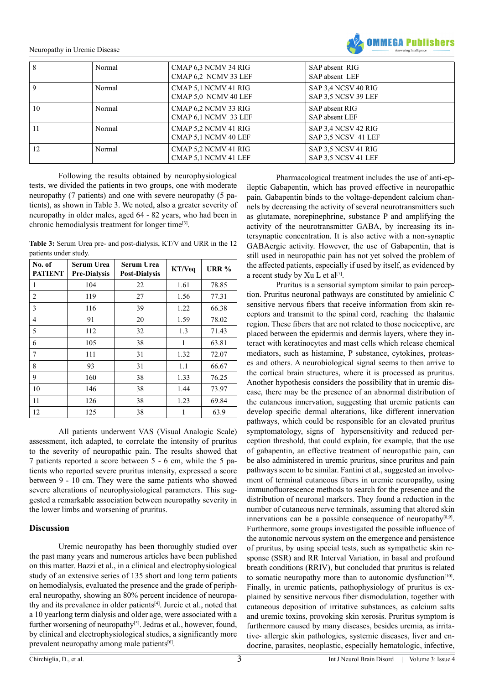Neuropathy in Uremic Disease



| 8            | Normal | CMAP 6.3 NCMV 34 RIG<br>CMAP 6,2 NCMV 33 LEF | SAP absent RIG<br>SAP absent LEF           |
|--------------|--------|----------------------------------------------|--------------------------------------------|
| $\mathbf{Q}$ | Normal | CMAP 5.1 NCMV 41 RIG<br>CMAP 5.0 NCMV 40 LEF | SAP 3.4 NCSV 40 RIG<br>SAP 3.5 NCSV 39 LEF |
| 10           | Normal | CMAP 6,2 NCMV 33 RIG<br>CMAP 6,1 NCMV 33 LEF | SAP absent RIG<br>SAP absent LEF           |
| 11           | Normal | CMAP 5.2 NCMV 41 RIG<br>CMAP 5.1 NCMV 40 LEF | SAP 3.4 NCSV 42 RIG<br>SAP 3.5 NCSV 41 LEF |
| 12           | Normal | CMAP 5.2 NCMV 41 RIG<br>CMAP 5.1 NCMV 41 LEF | SAP 3.5 NCSV 41 RIG<br>SAP 3.5 NCSV 41 LEF |

Following the results obtained by neurophysiological tests, we divided the patients in two groups, one with moderate neuropathy (7 patients) and one with severe neuropathy (5 patients), as shown in Table 3. We noted, also a greater severity of neuropathy in older males, aged 64 - 82 years, who had been in chronic hemodialysis treatment for longer tim[e\[3\].](#page-3-2)

**Table 3:** Serum Urea pre- and post-dialysis, KT/V and URR in the 12 patients under study.

| No. of<br><b>PATIENT</b> | Serum Urea<br><b>Pre-Dialysis</b> | Serum Urea<br><b>Post-Dialysis</b> | KT/Veq | <b>URR %</b> |
|--------------------------|-----------------------------------|------------------------------------|--------|--------------|
| 1                        | 104                               | 22                                 | 1.61   | 78.85        |
| $\overline{c}$           | 119                               | 27                                 | 1.56   | 77.31        |
| 3                        | 116                               | 39                                 | 1.22   | 66.38        |
| $\overline{4}$           | 91                                | 20                                 | 1.59   | 78.02        |
| 5                        | 112                               | 32                                 | 1.3    | 71.43        |
| 6                        | 105                               | 38                                 | 1      | 63.81        |
| 7                        | 111                               | 31                                 | 1.32   | 72.07        |
| 8                        | 93                                | 31                                 | 1.1    | 66.67        |
| 9                        | 160                               | 38                                 | 1.33   | 76.25        |
| 10                       | 146                               | 38                                 | 1.44   | 73.97        |
| 11                       | 126                               | 38                                 | 1.23   | 69.84        |
| 12                       | 125                               | 38                                 | 1      | 63.9         |

All patients underwent VAS (Visual Analogic Scale) assessment, itch adapted, to correlate the intensity of pruritus to the severity of neuropathic pain. The results showed that 7 patients reported a score between 5 - 6 cm, while the 5 patients who reported severe pruritus intensity, expressed a score between 9 - 10 cm. They were the same patients who showed severe alterations of neurophysiological parameters. This suggested a remarkable association between neuropathy severity in the lower limbs and worsening of pruritus.

### **Discussion**

Uremic neuropathy has been thoroughly studied over the past many years and numerous articles have been published on this matter. Bazzi et al., in a clinical and electrophysiological study of an extensive series of 135 short and long term patients on hemodialysis, evaluated the presence and the grade of peripheral neuropathy, showing an 80% percent incidence of neuropathy and its prevalence in older patients<sup>[4]</sup>. Jurcic et al., noted that a 10 yearlong term dialysis and older age, were associated with a further worsening of neuropathy<sup>[\[5\]](#page-3-4)</sup>. Jedras et al., however, found, by clinical and electrophysiological studies, a significantly more prevalent neuropathy among male patients<sup>[6]</sup>.

Pharmacological treatment includes the use of anti-epileptic Gabapentin, which has proved effective in neuropathic pain. Gabapentin binds to the voltage-dependent calcium channels by decreasing the activity of several neurotransmitters such as glutamate, norepinephrine, substance P and amplifying the activity of the neurotransmitter GABA, by increasing its intersynaptic concentration. It is also active with a non-synaptic GABAergic activity. However, the use of Gabapentin, that is still used in neuropathic pain has not yet solved the problem of the affected patients, especially if used by itself, as evidenced by a recent study by Xu L et al<sup>[7]</sup>.

Pruritus is a sensorial symptom similar to pain perception. Pruritus neuronal pathways are constituted by amielinic C sensitive nervous fibers that receive information from skin receptors and transmit to the spinal cord, reaching the thalamic region. These fibers that are not related to those nociceptive, are placed between the epidermis and dermis layers, where they interact with keratinocytes and mast cells which release chemical mediators, such as histamine, P substance, cytokines, proteases and others. A neurobiological signal seems to then arrive to the cortical brain structures, where it is processed as pruritus. Another hypothesis considers the possibility that in uremic disease, there may be the presence of an abnormal distribution of the cutaneous innervation, suggesting that uremic patients can develop specific dermal alterations, like different innervation pathways, which could be responsible for an elevated pruritus symptomatology, signs of hypersensitivity and reduced perception threshold, that could explain, for example, that the use of gabapentin, an effective treatment of neuropathic pain, can be also administered in uremic pruritus, since pruritus and pain pathways seem to be similar. Fantini et al., suggested an involvement of terminal cutaneous fibers in uremic neuropathy, using immunofluorescence methods to search for the presence and the distribution of neuronal markers. They found a reduction in the number of cutaneous nerve terminals, assuming that altered skin innervations can be a possible consequence of neuropathy $[8,9]$ . Furthermore, some groups investigated the possible influence of the autonomic nervous system on the emergence and persistence of pruritus, by using special tests, such as sympathetic skin response (SSR) and RR Interval Variation, in basal and profound breath conditions (RRIV), but concluded that pruritus is related to somatic neuropathy more than to autonomic dysfunction<sup>[10]</sup>. Finally, in uremic patients, pathophysiology of pruritus is explained by sensitive nervous fiber dismodulation, together with cutaneous deposition of irritative substances, as calcium salts and uremic toxins, provoking skin xerosis. Pruritus symptom is furthermore caused by many diseases, besides uremia, as irritative- allergic skin pathologies, systemic diseases, liver and endocrine, parasites, neoplastic, especially hematologic, infective,